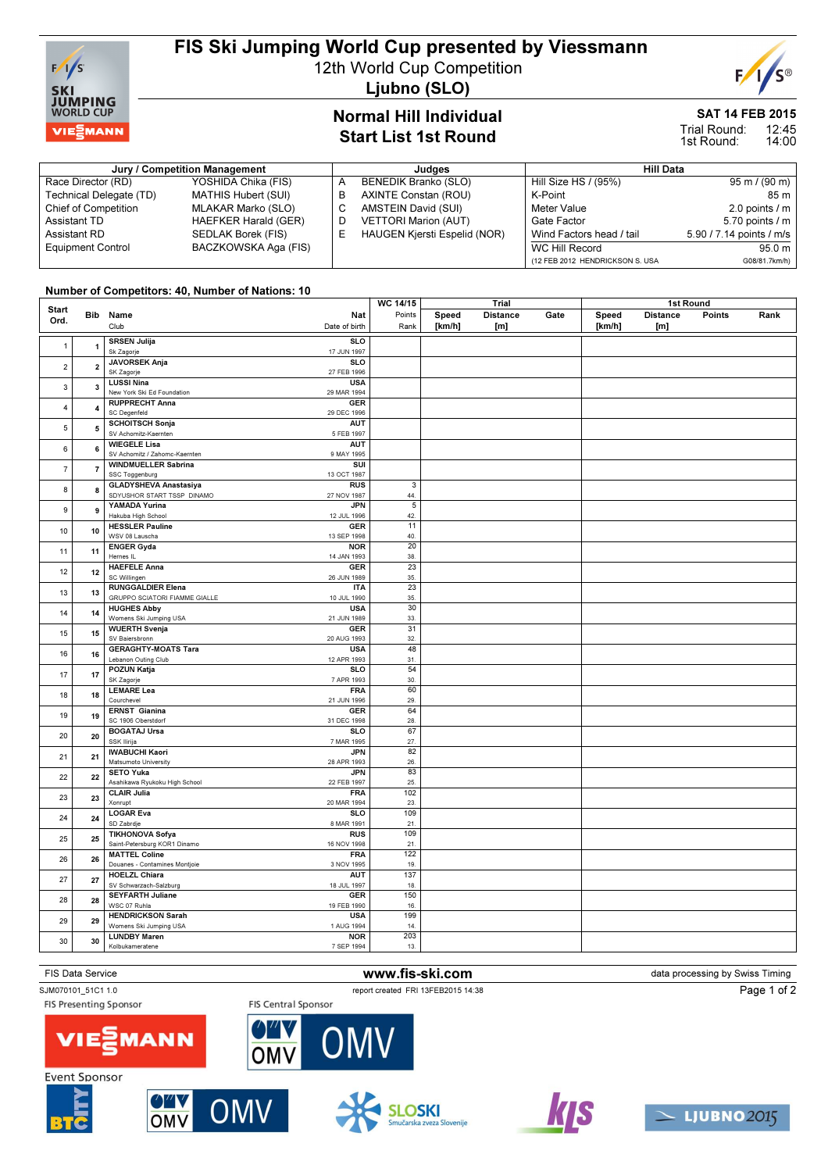

# FIS Ski Jumping World Cup presented by Viessmann

12th World Cup Competition

Ljubno (SLO)

## Normal Hill Individual Start List 1st Round

#### SAT 14 FEB 2015 12:45

14:00 Trial Round: 1st Round:

#### Jury / Competition Management **All Data** Judges **Hill Data** Hill Data Race Director (RD) YOSHIDA Chika (FIS)<br>Technical Delegate (TD) MATHIS Hubert (SUI) Technical Delegate (TD) Chief of Competition MLAKAR Marko (SLO) Assistant TD **HAEFKER Harald (GER)**<br>Assistant RD **SEDLAK Borek (FIS)** SEDLAK Borek (FIS) Equipment Control BACZKOWSKA Aga (FIS) A BENEDIK Branko (SLO)<br>B AXINTE Constan (ROU) AXINTE Constan (ROU) C AMSTEIN David (SUI) D VETTORI Marion (AUT)<br>E HAUGEN Kjersti Espelio E HAUGEN Kjersti Espelid (NOR) Hill Size HS / (95%) 95 m / (90 m) K-Point 85 m<br>Meter Value 2.0 points / m 2.0 points  $\ell$  m Gate Factor 5.70 points / m<br>Wind Factors head / tail 5.90 / 7.14 points / m/s Wind Factors head / tail WC Hill Record 95.0 m (12 FEB 2012 HENDRICKSON S. USA G08/81.7km/h)

### Number of Competitors: 40, Number of Nations: 10

|                         |                         |                               | WC 14/15      | Trial                   |        | 1st Round       |      |        |                 |        |      |
|-------------------------|-------------------------|-------------------------------|---------------|-------------------------|--------|-----------------|------|--------|-----------------|--------|------|
| <b>Start</b>            | <b>Bib</b>              | Name                          | <b>Nat</b>    | Points                  | Speed  | <b>Distance</b> | Gate | Speed  | <b>Distance</b> | Points | Rank |
| Ord.                    |                         | Club                          | Date of birth | Rank                    |        |                 |      |        |                 |        |      |
|                         |                         |                               |               |                         | [km/h] | [m]             |      | [km/h] | [m]             |        |      |
|                         |                         | <b>SRSEN Julija</b>           | <b>SLO</b>    |                         |        |                 |      |        |                 |        |      |
| $\mathbf{1}$            | $\overline{1}$          | Sk Zagorje                    | 17 JUN 1997   |                         |        |                 |      |        |                 |        |      |
|                         |                         | <b>JAVORSEK Anja</b>          | SLO           |                         |        |                 |      |        |                 |        |      |
| $\overline{2}$          | $\overline{\mathbf{2}}$ | SK Zagorje                    | 27 FEB 1996   |                         |        |                 |      |        |                 |        |      |
|                         |                         |                               |               |                         |        |                 |      |        |                 |        |      |
| 3                       | 3                       | <b>LUSSI Nina</b>             | <b>USA</b>    |                         |        |                 |      |        |                 |        |      |
|                         |                         | New York Ski Ed Foundation    | 29 MAR 1994   |                         |        |                 |      |        |                 |        |      |
| $\overline{\mathbf{4}}$ | 4                       | <b>RUPPRECHT Anna</b>         | <b>GER</b>    |                         |        |                 |      |        |                 |        |      |
|                         |                         | SC Degenfeld                  | 29 DEC 1996   |                         |        |                 |      |        |                 |        |      |
|                         |                         | <b>SCHOITSCH Sonja</b>        | AUT           |                         |        |                 |      |        |                 |        |      |
| $\sqrt{5}$              | 5                       | SV Achomitz-Kaernten          | 5 FEB 1997    |                         |        |                 |      |        |                 |        |      |
|                         |                         | <b>WIEGELE Lisa</b>           | <b>AUT</b>    |                         |        |                 |      |        |                 |        |      |
| 6                       | 6                       | SV Achomitz / Zahomc-Kaernten | 9 MAY 1995    |                         |        |                 |      |        |                 |        |      |
| $\overline{7}$<br>8     |                         |                               |               |                         |        |                 |      |        |                 |        |      |
|                         | $\overline{7}$          | <b>WINDMUELLER Sabrina</b>    | SUI           |                         |        |                 |      |        |                 |        |      |
|                         |                         | SSC Toggenburg                | 13 OCT 1987   |                         |        |                 |      |        |                 |        |      |
|                         | 8                       | <b>GLADYSHEVA Anastasiya</b>  | <b>RUS</b>    | $\mathsf 3$             |        |                 |      |        |                 |        |      |
|                         |                         | SDYUSHOR START TSSP DINAMO    | 27 NOV 1987   | 44.                     |        |                 |      |        |                 |        |      |
|                         |                         | YAMADA Yurina                 | <b>JPN</b>    | $\overline{\mathbf{5}}$ |        |                 |      |        |                 |        |      |
| 9                       | 9                       | Hakuba High School            | 12 JUL 1996   | 42.                     |        |                 |      |        |                 |        |      |
|                         |                         | <b>HESSLER Pauline</b>        | <b>GER</b>    | 11                      |        |                 |      |        |                 |        |      |
| 10                      | 10                      | WSV 08 Lauscha                | 13 SEP 1998   | 40.                     |        |                 |      |        |                 |        |      |
|                         |                         |                               |               |                         |        |                 |      |        |                 |        |      |
| 11                      | 11                      | <b>ENGER Gyda</b>             | <b>NOR</b>    | 20                      |        |                 |      |        |                 |        |      |
|                         |                         | Hernes IL                     | 14 JAN 1993   | 38.                     |        |                 |      |        |                 |        |      |
|                         | 12                      | <b>HAEFELE Anna</b>           | <b>GER</b>    | 23                      |        |                 |      |        |                 |        |      |
| 12                      |                         | SC Willingen                  | 26 JUN 1989   | 35.                     |        |                 |      |        |                 |        |      |
|                         |                         | <b>RUNGGALDIER Elena</b>      | <b>ITA</b>    | $\overline{23}$         |        |                 |      |        |                 |        |      |
| 13                      | 13                      | GRUPPO SCIATORI FIAMME GIALLE | 10 JUL 1990   | 35.                     |        |                 |      |        |                 |        |      |
|                         |                         | <b>HUGHES Abby</b>            | <b>USA</b>    | 30                      |        |                 |      |        |                 |        |      |
| 14                      | 14                      |                               | 21 JUN 1989   | 33.                     |        |                 |      |        |                 |        |      |
|                         |                         | Womens Ski Jumping USA        |               |                         |        |                 |      |        |                 |        |      |
| 15                      | 15                      | <b>WUERTH Svenja</b>          | <b>GER</b>    | 31                      |        |                 |      |        |                 |        |      |
|                         |                         | SV Baiersbronn                | 20 AUG 1993   | 32.                     |        |                 |      |        |                 |        |      |
| 16                      | 16                      | <b>GERAGHTY-MOATS Tara</b>    | <b>USA</b>    | 48                      |        |                 |      |        |                 |        |      |
|                         |                         | Lebanon Outing Club           | 12 APR 1993   | 31.                     |        |                 |      |        |                 |        |      |
|                         |                         | POZUN Katja                   | <b>SLO</b>    | 54                      |        |                 |      |        |                 |        |      |
| 17                      | 17                      | SK Zagorje                    | 7 APR 1993    | 30.                     |        |                 |      |        |                 |        |      |
|                         | 18                      | <b>LEMARE</b> Lea             | <b>FRA</b>    | 60                      |        |                 |      |        |                 |        |      |
| 18                      |                         | Courchevel                    | 21 JUN 1996   | 29.                     |        |                 |      |        |                 |        |      |
|                         |                         |                               |               | 64                      |        |                 |      |        |                 |        |      |
| 19                      | 19                      | <b>ERNST Gianina</b>          | <b>GER</b>    |                         |        |                 |      |        |                 |        |      |
|                         |                         | SC 1906 Oberstdorf            | 31 DEC 1998   | 28.                     |        |                 |      |        |                 |        |      |
| 20                      | 20                      | <b>BOGATAJ Ursa</b>           | <b>SLO</b>    | 67                      |        |                 |      |        |                 |        |      |
|                         |                         | SSK Ilirija                   | 7 MAR 1995    | 27.                     |        |                 |      |        |                 |        |      |
| 21                      | 21                      | <b>IWABUCHI Kaori</b>         | <b>JPN</b>    | 82                      |        |                 |      |        |                 |        |      |
|                         |                         | Matsumoto University          | 28 APR 1993   | 26.                     |        |                 |      |        |                 |        |      |
|                         | 22                      | <b>SETO Yuka</b>              | <b>JPN</b>    | 83                      |        |                 |      |        |                 |        |      |
| 22                      |                         | Asahikawa Ryukoku High School | 22 FEB 1997   | 25.                     |        |                 |      |        |                 |        |      |
|                         |                         |                               | <b>FRA</b>    | 102                     |        |                 |      |        |                 |        |      |
| 23                      | 23                      | <b>CLAIR Julia</b>            |               |                         |        |                 |      |        |                 |        |      |
|                         |                         | Xonrupt                       | 20 MAR 1994   | 23.                     |        |                 |      |        |                 |        |      |
| 24                      | 24                      | <b>LOGAR Eva</b>              | <b>SLO</b>    | 109                     |        |                 |      |        |                 |        |      |
|                         |                         | SD Zabrdje                    | 8 MAR 1991    | 21                      |        |                 |      |        |                 |        |      |
|                         |                         | <b>TIKHONOVA Sofya</b>        | <b>RUS</b>    | 109                     |        |                 |      |        |                 |        |      |
| 25                      | 25                      | Saint-Petersburg KOR1 Dinamo  | 16 NOV 1998   | 21.                     |        |                 |      |        |                 |        |      |
|                         |                         | <b>MATTEL Coline</b>          | <b>FRA</b>    | 122                     |        |                 |      |        |                 |        |      |
| 26                      | 26                      | Douanes - Contamines Montjoie | 3 NOV 1995    | 19.                     |        |                 |      |        |                 |        |      |
|                         |                         | <b>HOELZL Chiara</b>          | <b>AUT</b>    | 137                     |        |                 |      |        |                 |        |      |
| 27                      | 27                      |                               |               |                         |        |                 |      |        |                 |        |      |
|                         |                         | SV Schwarzach-Salzburg        | 18 JUL 1997   | 18.                     |        |                 |      |        |                 |        |      |
| 28                      | 28                      | <b>SEYFARTH Juliane</b>       | <b>GER</b>    | 150                     |        |                 |      |        |                 |        |      |
|                         |                         | WSC 07 Ruhla                  | 19 FEB 1990   | 16.                     |        |                 |      |        |                 |        |      |
|                         |                         | <b>HENDRICKSON Sarah</b>      | <b>USA</b>    | 199                     |        |                 |      |        |                 |        |      |
| 29                      | 29                      | Womens Ski Jumping USA        | 1 AUG 1994    | 14.                     |        |                 |      |        |                 |        |      |
|                         |                         | <b>LUNDBY Maren</b>           | <b>NOR</b>    | 203                     |        |                 |      |        |                 |        |      |
| 30                      | 30                      | Kolbukameratene               | 7 SEP 1994    | 13.                     |        |                 |      |        |                 |        |      |
|                         |                         |                               |               |                         |        |                 |      |        |                 |        |      |
|                         |                         |                               |               |                         |        |                 |      |        |                 |        |      |

FIS Data Service **WWW.fis-ski.com www.fis-ski.com** data processing by Swiss Timing

**FIS Presenting Sponsor** 

**FIS Central Sponsor** 

OMV